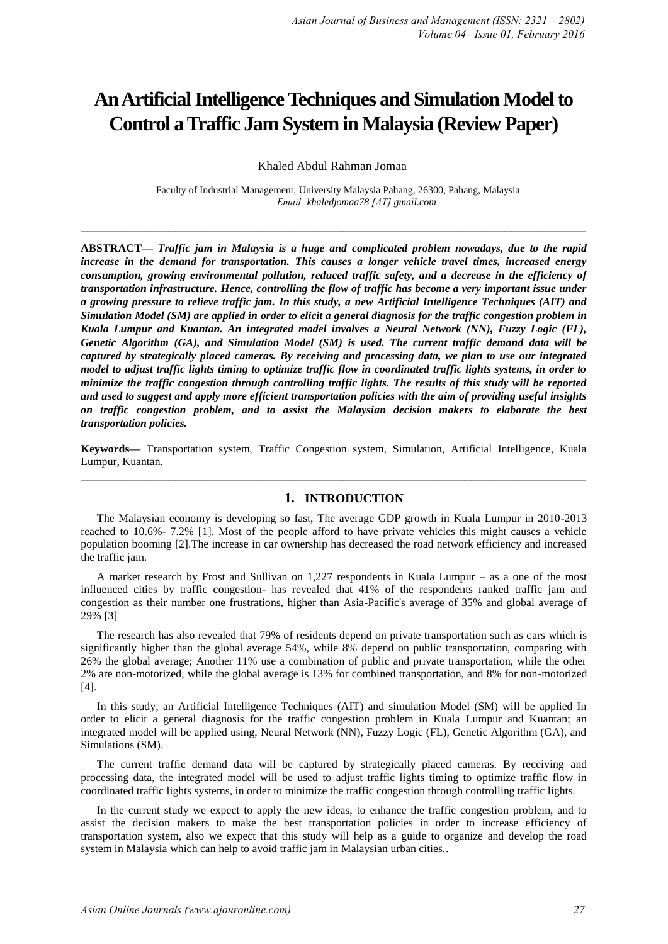# **An Artificial Intelligence Techniques and Simulation Model to Control a Traffic Jam System in Malaysia (Review Paper)**

Khaled Abdul Rahman Jomaa

 Faculty of Industrial Management, University Malaysia Pahang, 26300, Pahang, Malaysia *Email: khaledjomaa78 [AT] gmail.com*

**\_\_\_\_\_\_\_\_\_\_\_\_\_\_\_\_\_\_\_\_\_\_\_\_\_\_\_\_\_\_\_\_\_\_\_\_\_\_\_\_\_\_\_\_\_\_\_\_\_\_\_\_\_\_\_\_\_\_\_\_\_\_\_\_\_\_\_\_\_\_\_\_\_\_\_**

**ABSTRACT—** *Traffic jam in Malaysia is a huge and complicated problem nowadays, due to the rapid increase in the demand for transportation. This causes a longer vehicle travel times, increased energy consumption, growing environmental pollution, reduced traffic safety, and a decrease in the efficiency of transportation infrastructure. Hence, controlling the flow of traffic has become a very important issue under a growing pressure to relieve traffic jam. In this study, a new Artificial Intelligence Techniques (AIT) and Simulation Model (SM) are applied in order to elicit a general diagnosis for the traffic congestion problem in Kuala Lumpur and Kuantan. An integrated model involves a Neural Network (NN), Fuzzy Logic (FL), Genetic Algorithm (GA), and Simulation Model (SM) is used. The current traffic demand data will be captured by strategically placed cameras. By receiving and processing data, we plan to use our integrated model to adjust traffic lights timing to optimize traffic flow in coordinated traffic lights systems, in order to minimize the traffic congestion through controlling traffic lights. The results of this study will be reported and used to suggest and apply more efficient transportation policies with the aim of providing useful insights on traffic congestion problem, and to assist the Malaysian decision makers to elaborate the best transportation policies.* 

**Keywords—** Transportation system, Traffic Congestion system, Simulation, Artificial Intelligence, Kuala Lumpur, Kuantan. **\_\_\_\_\_\_\_\_\_\_\_\_\_\_\_\_\_\_\_\_\_\_\_\_\_\_\_\_\_\_\_\_\_\_\_\_\_\_\_\_\_\_\_\_\_\_\_\_\_\_\_\_\_\_\_\_\_\_\_\_\_\_\_\_\_\_\_\_\_\_\_\_\_\_\_**

## **1. INTRODUCTION**

The Malaysian economy is developing so fast, The average GDP growth in Kuala Lumpur in 2010-2013 reached to 10.6%- 7.2% [1]. Most of the people afford to have private vehicles this might causes a vehicle population booming [2].The increase in car ownership has decreased the road network efficiency and increased the traffic jam.

A market research by Frost and Sullivan on 1,227 respondents in Kuala Lumpur – as a one of the most influenced cities by traffic congestion- has revealed that 41% of the respondents ranked traffic jam and congestion as their number one frustrations, higher than Asia-Pacific's average of 35% and global average of 29% [3]

The research has also revealed that 79% of residents depend on private transportation such as cars which is significantly higher than the global average 54%, while 8% depend on public transportation, comparing with 26% the global average; Another 11% use a combination of public and private transportation, while the other 2% are non-motorized, while the global average is 13% for combined transportation, and 8% for non-motorized [4].

In this study, an Artificial Intelligence Techniques (AIT) and simulation Model (SM) will be applied In order to elicit a general diagnosis for the traffic congestion problem in Kuala Lumpur and Kuantan; an integrated model will be applied using, Neural Network (NN), Fuzzy Logic (FL), Genetic Algorithm (GA), and Simulations (SM).

The current traffic demand data will be captured by strategically placed cameras. By receiving and processing data, the integrated model will be used to adjust traffic lights timing to optimize traffic flow in coordinated traffic lights systems, in order to minimize the traffic congestion through controlling traffic lights.

In the current study we expect to apply the new ideas, to enhance the traffic congestion problem, and to assist the decision makers to make the best transportation policies in order to increase efficiency of transportation system, also we expect that this study will help as a guide to organize and develop the road system in Malaysia which can help to avoid traffic jam in Malaysian urban cities..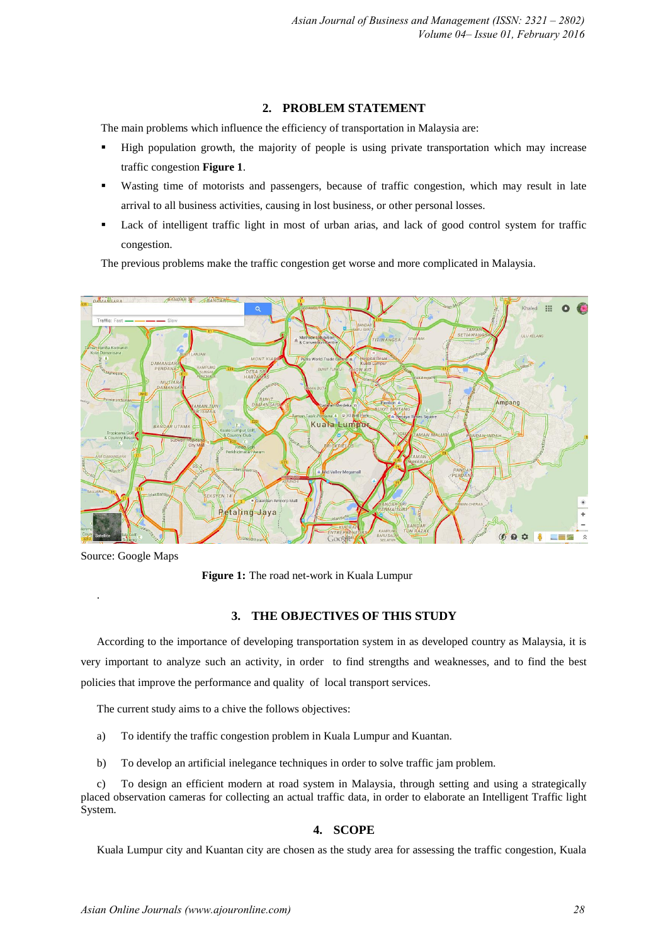# **2. PROBLEM STATEMENT**

The main problems which influence the efficiency of transportation in Malaysia are:

- High population growth, the majority of people is using private transportation which may increase traffic congestion **Figure 1**.
- Wasting time of motorists and passengers, because of traffic congestion, which may result in late arrival to all business activities, causing in lost business, or other personal losses.
- Lack of intelligent traffic light in most of urban arias, and lack of good control system for traffic congestion.

The previous problems make the traffic congestion get worse and more complicated in Malaysia.



Source: Google Maps

.

**Figure 1:** The road net-work in Kuala Lumpur

#### **3. THE OBJECTIVES OF THIS STUDY**

According to the importance of developing transportation system in as developed country as Malaysia, it is very important to analyze such an activity, in order to find strengths and weaknesses, and to find the best policies that improve the performance and quality of local transport services.

The current study aims to a chive the follows objectives:

- a) To identify the traffic congestion problem in Kuala Lumpur and Kuantan.
- b) To develop an artificial inelegance techniques in order to solve traffic jam problem.

c) To design an efficient modern at road system in Malaysia, through setting and using a strategically placed observation cameras for collecting an actual traffic data, in order to elaborate an Intelligent Traffic light System.

#### **4. SCOPE**

Kuala Lumpur city and Kuantan city are chosen as the study area for assessing the traffic congestion, Kuala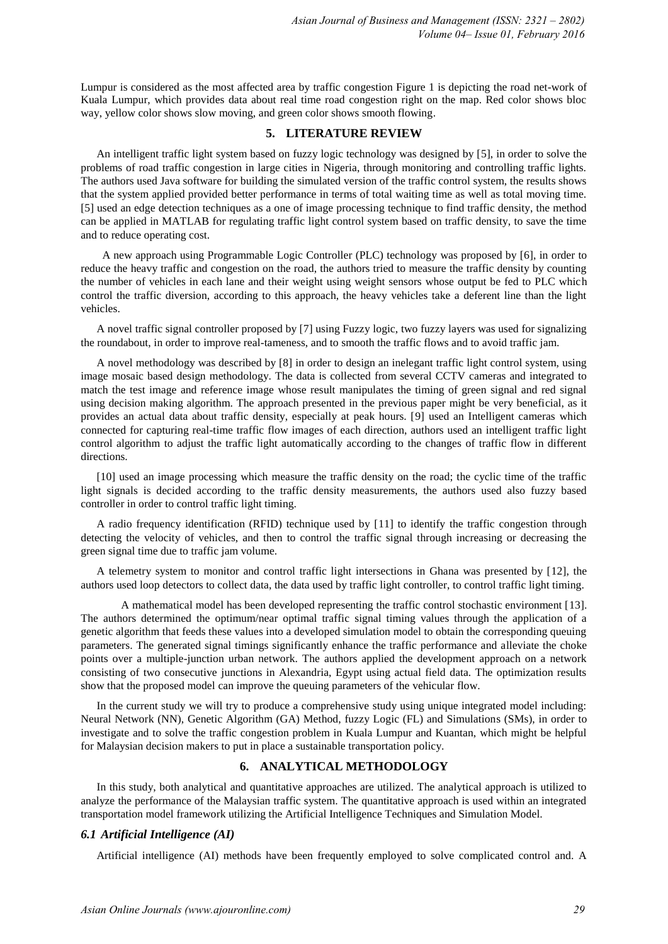Lumpur is considered as the most affected area by traffic congestion Figure 1 is depicting the road net-work of Kuala Lumpur, which provides data about real time road congestion right on the map. Red color shows bloc way, yellow color shows slow moving, and green color shows smooth flowing.

#### **5. LITERATURE REVIEW**

An intelligent traffic light system based on fuzzy logic technology was designed by [5], in order to solve the problems of road traffic congestion in large cities in Nigeria, through monitoring and controlling traffic lights. The authors used Java software for building the simulated version of the traffic control system, the results shows that the system applied provided better performance in terms of total waiting time as well as total moving time. [5] used an edge detection techniques as a one of image processing technique to find traffic density, the method can be applied in MATLAB for regulating traffic light control system based on traffic density, to save the time and to reduce operating cost.

 A new approach using Programmable Logic Controller (PLC) technology was proposed by [6], in order to reduce the heavy traffic and congestion on the road, the authors tried to measure the traffic density by counting the number of vehicles in each lane and their weight using weight sensors whose output be fed to PLC which control the traffic diversion, according to this approach, the heavy vehicles take a deferent line than the light vehicles.

A novel traffic signal controller proposed by [7] using Fuzzy logic, two fuzzy layers was used for signalizing the roundabout, in order to improve real-tameness, and to smooth the traffic flows and to avoid traffic jam.

A novel methodology was described by [8] in order to design an inelegant traffic light control system, using image mosaic based design methodology. The data is collected from several CCTV cameras and integrated to match the test image and reference image whose result manipulates the timing of green signal and red signal using decision making algorithm. The approach presented in the previous paper might be very beneficial, as it provides an actual data about traffic density, especially at peak hours. [9] used an Intelligent cameras which connected for capturing real-time traffic flow images of each direction, authors used an intelligent traffic light control algorithm to adjust the traffic light automatically according to the changes of traffic flow in different directions.

[10] used an image processing which measure the traffic density on the road; the cyclic time of the traffic light signals is decided according to the traffic density measurements, the authors used also fuzzy based controller in order to control traffic light timing.

A radio frequency identification (RFID) technique used by [11] to identify the traffic congestion through detecting the velocity of vehicles, and then to control the traffic signal through increasing or decreasing the green signal time due to traffic jam volume.

A telemetry system to monitor and control traffic light intersections in Ghana was presented by [12], the authors used loop detectors to collect data, the data used by traffic light controller, to control traffic light timing.

A mathematical model has been developed representing the traffic control stochastic environment [13]. The authors determined the optimum/near optimal traffic signal timing values through the application of a genetic algorithm that feeds these values into a developed simulation model to obtain the corresponding queuing parameters. The generated signal timings significantly enhance the traffic performance and alleviate the choke points over a multiple-junction urban network. The authors applied the development approach on a network consisting of two consecutive junctions in Alexandria, Egypt using actual field data. The optimization results show that the proposed model can improve the queuing parameters of the vehicular flow.

In the current study we will try to produce a comprehensive study using unique integrated model including: Neural Network (NN), Genetic Algorithm (GA) Method, fuzzy Logic (FL) and Simulations (SMs), in order to investigate and to solve the traffic congestion problem in Kuala Lumpur and Kuantan, which might be helpful for Malaysian decision makers to put in place a sustainable transportation policy.

## **6. ANALYTICAL METHODOLOGY**

In this study, both analytical and quantitative approaches are utilized. The analytical approach is utilized to analyze the performance of the Malaysian traffic system. The quantitative approach is used within an integrated transportation model framework utilizing the Artificial Intelligence Techniques and Simulation Model.

## *6.1 Artificial Intelligence (AI)*

Artificial intelligence (AI) methods have been frequently employed to solve complicated control and. A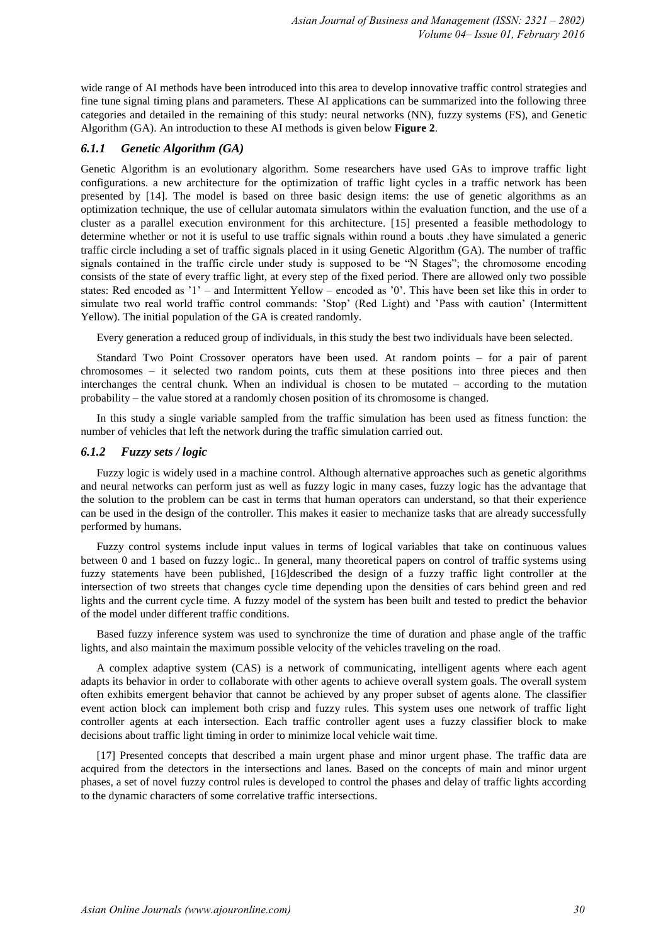wide range of AI methods have been introduced into this area to develop innovative traffic control strategies and fine tune signal timing plans and parameters. These AI applications can be summarized into the following three categories and detailed in the remaining of this study: neural networks (NN), fuzzy systems (FS), and Genetic Algorithm (GA). An introduction to these AI methods is given below **Figure 2**.

## *6.1.1 Genetic Algorithm (GA)*

Genetic Algorithm is an evolutionary algorithm. Some researchers have used GAs to improve traffic light configurations. a new architecture for the optimization of traffic light cycles in a traffic network has been presented by [14]. The model is based on three basic design items: the use of genetic algorithms as an optimization technique, the use of cellular automata simulators within the evaluation function, and the use of a cluster as a parallel execution environment for this architecture. [15] presented a feasible methodology to determine whether or not it is useful to use traffic signals within round a bouts .they have simulated a generic traffic circle including a set of traffic signals placed in it using Genetic Algorithm (GA). The number of traffic signals contained in the traffic circle under study is supposed to be "N Stages"; the chromosome encoding consists of the state of every traffic light, at every step of the fixed period. There are allowed only two possible states: Red encoded as '1' – and Intermittent Yellow – encoded as '0'. This have been set like this in order to simulate two real world traffic control commands: 'Stop' (Red Light) and 'Pass with caution' (Intermittent Yellow). The initial population of the GA is created randomly.

Every generation a reduced group of individuals, in this study the best two individuals have been selected.

Standard Two Point Crossover operators have been used. At random points – for a pair of parent chromosomes – it selected two random points, cuts them at these positions into three pieces and then interchanges the central chunk. When an individual is chosen to be mutated – according to the mutation probability – the value stored at a randomly chosen position of its chromosome is changed.

In this study a single variable sampled from the traffic simulation has been used as fitness function: the number of vehicles that left the network during the traffic simulation carried out.

## *6.1.2 Fuzzy sets / logic*

Fuzzy logic is widely used in a machine control. Although alternative approaches such as genetic algorithms and neural networks can perform just as well as fuzzy logic in many cases, fuzzy logic has the advantage that the solution to the problem can be cast in terms that human operators can understand, so that their experience can be used in the design of the controller. This makes it easier to mechanize tasks that are already successfully performed by humans.

Fuzzy control systems include input values in terms of logical variables that take on continuous values between 0 and 1 based on fuzzy logic.. In general, many theoretical papers on control of traffic systems using fuzzy statements have been published, [16]described the design of a fuzzy traffic light controller at the intersection of two streets that changes cycle time depending upon the densities of cars behind green and red lights and the current cycle time. A fuzzy model of the system has been built and tested to predict the behavior of the model under different traffic conditions.

Based fuzzy inference system was used to synchronize the time of duration and phase angle of the traffic lights, and also maintain the maximum possible velocity of the vehicles traveling on the road.

A complex adaptive system (CAS) is a network of communicating, intelligent agents where each agent adapts its behavior in order to collaborate with other agents to achieve overall system goals. The overall system often exhibits emergent behavior that cannot be achieved by any proper subset of agents alone. The classifier event action block can implement both crisp and fuzzy rules. This system uses one network of traffic light controller agents at each intersection. Each traffic controller agent uses a fuzzy classifier block to make decisions about traffic light timing in order to minimize local vehicle wait time.

[17] Presented concepts that described a main urgent phase and minor urgent phase. The traffic data are acquired from the detectors in the intersections and lanes. Based on the concepts of main and minor urgent phases, a set of novel fuzzy control rules is developed to control the phases and delay of traffic lights according to the dynamic characters of some correlative traffic intersections.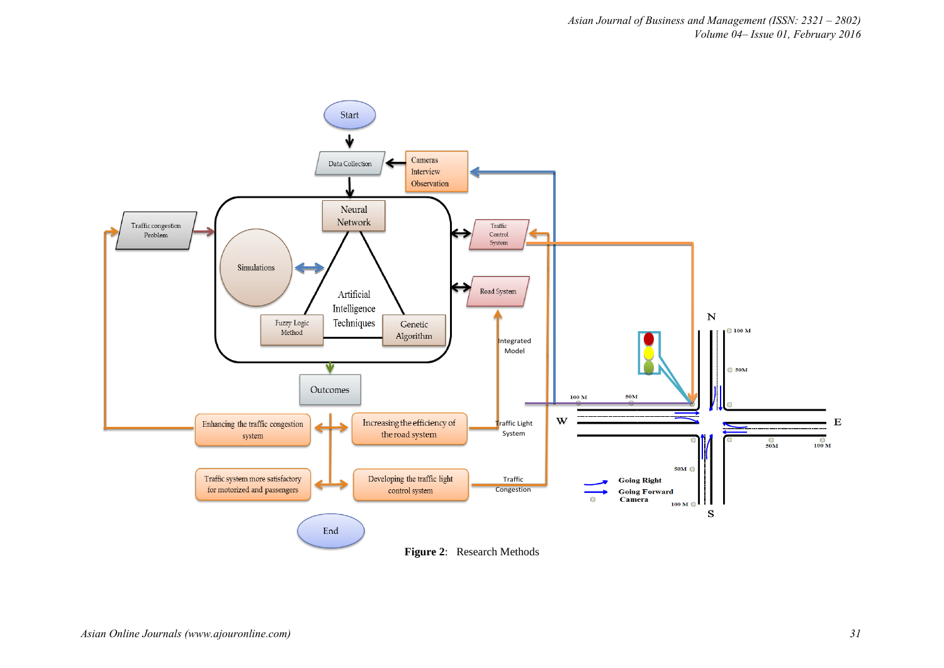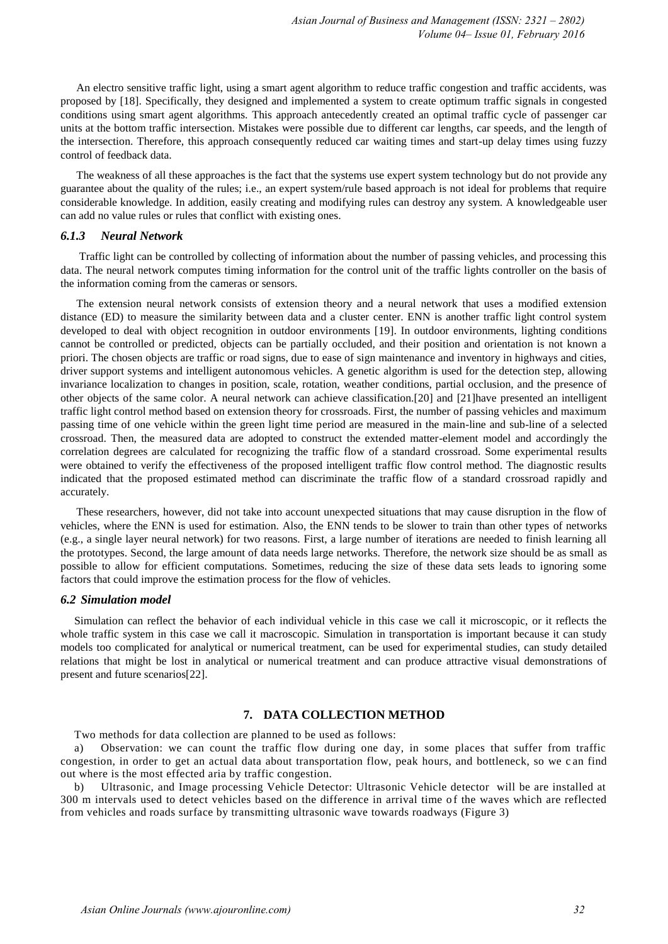An electro sensitive traffic light, using a smart agent algorithm to reduce traffic congestion and traffic accidents, was proposed by [18]. Specifically, they designed and implemented a system to create optimum traffic signals in congested conditions using smart agent algorithms. This approach antecedently created an optimal traffic cycle of passenger car units at the bottom traffic intersection. Mistakes were possible due to different car lengths, car speeds, and the length of the intersection. Therefore, this approach consequently reduced car waiting times and start-up delay times using fuzzy control of feedback data.

The weakness of all these approaches is the fact that the systems use expert system technology but do not provide any guarantee about the quality of the rules; i.e., an expert system/rule based approach is not ideal for problems that require considerable knowledge. In addition, easily creating and modifying rules can destroy any system. A knowledgeable user can add no value rules or rules that conflict with existing ones.

#### *6.1.3 Neural Network*

Traffic light can be controlled by collecting of information about the number of passing vehicles, and processing this data. The neural network computes timing information for the control unit of the traffic lights controller on the basis of the information coming from the cameras or sensors.

The extension neural network consists of extension theory and a neural network that uses a modified extension distance (ED) to measure the similarity between data and a cluster center. ENN is another traffic light control system developed to deal with object recognition in outdoor environments [19]. In outdoor environments, lighting conditions cannot be controlled or predicted, objects can be partially occluded, and their position and orientation is not known a priori. The chosen objects are traffic or road signs, due to ease of sign maintenance and inventory in highways and cities, driver support systems and intelligent autonomous vehicles. A genetic algorithm is used for the detection step, allowing invariance localization to changes in position, scale, rotation, weather conditions, partial occlusion, and the presence of other objects of the same color. A neural network can achieve classification.[20] and [21]have presented an intelligent traffic light control method based on extension theory for crossroads. First, the number of passing vehicles and maximum passing time of one vehicle within the green light time period are measured in the main-line and sub-line of a selected crossroad. Then, the measured data are adopted to construct the extended matter-element model and accordingly the correlation degrees are calculated for recognizing the traffic flow of a standard crossroad. Some experimental results were obtained to verify the effectiveness of the proposed intelligent traffic flow control method. The diagnostic results indicated that the proposed estimated method can discriminate the traffic flow of a standard crossroad rapidly and accurately.

These researchers, however, did not take into account unexpected situations that may cause disruption in the flow of vehicles, where the ENN is used for estimation. Also, the ENN tends to be slower to train than other types of networks (e.g., a single layer neural network) for two reasons. First, a large number of iterations are needed to finish learning all the prototypes. Second, the large amount of data needs large networks. Therefore, the network size should be as small as possible to allow for efficient computations. Sometimes, reducing the size of these data sets leads to ignoring some factors that could improve the estimation process for the flow of vehicles.

#### *6.2 Simulation model*

Simulation can reflect the behavior of each individual vehicle in this case we call it microscopic, or it reflects the whole traffic system in this case we call it macroscopic. Simulation in transportation is important because it can study models too complicated for analytical or numerical treatment, can be used for experimental studies, can study detailed relations that might be lost in analytical or numerical treatment and can produce attractive visual demonstrations of present and future scenarios[22].

## **7. DATA COLLECTION METHOD**

Two methods for data collection are planned to be used as follows:

a) Observation: we can count the traffic flow during one day, in some places that suffer from traffic congestion, in order to get an actual data about transportation flow, peak hours, and bottleneck, so we can find out where is the most effected aria by traffic congestion.

b) Ultrasonic, and Image processing Vehicle Detector: Ultrasonic Vehicle detector will be are installed at 300 m intervals used to detect vehicles based on the difference in arrival time o f the waves which are reflected from vehicles and roads surface by transmitting ultrasonic wave towards roadways (Figure 3)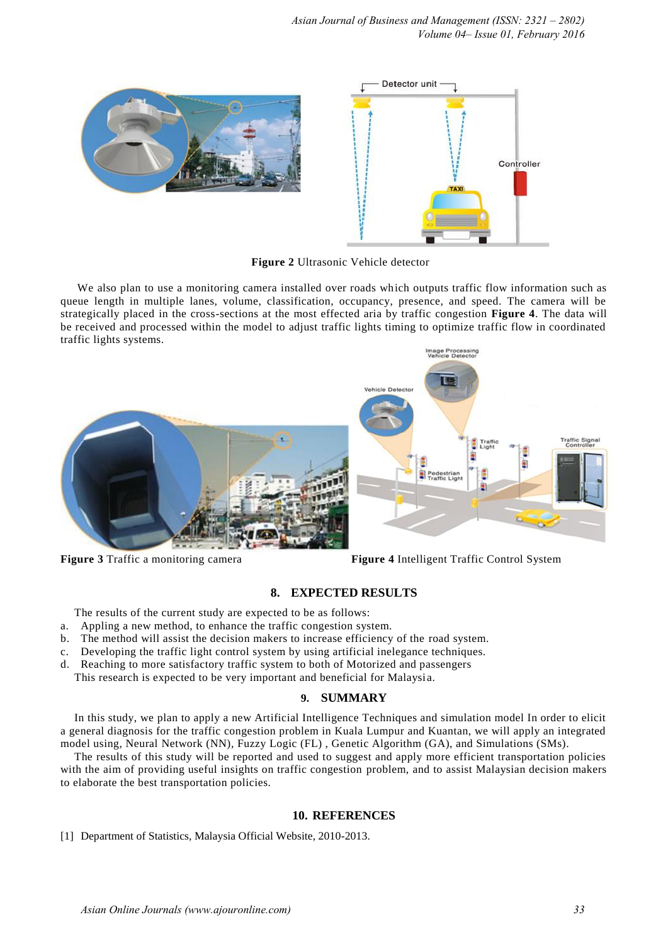

**Figure 2** Ultrasonic Vehicle detector

We also plan to use a monitoring camera installed over roads which outputs traffic flow information such as queue length in multiple lanes, volume, classification, occupancy, presence, and speed. The camera will be strategically placed in the cross-sections at the most effected aria by traffic congestion **Figure 4**. The data will be received and processed within the model to adjust traffic lights timing to optimize traffic flow in coordinated traffic lights systems.



**Figure 3** Traffic a monitoring camera **Figure 4** Intelligent Traffic Control System

# **8. EXPECTED RESULTS**

The results of the current study are expected to be as follows:

- a. Appling a new method, to enhance the traffic congestion system.
- b. The method will assist the decision makers to increase efficiency of the road system.
- c. Developing the traffic light control system by using artificial inelegance techniques.
- d. Reaching to more satisfactory traffic system to both of Motorized and passengers
	- This research is expected to be very important and beneficial for Malaysi a.

## **9. SUMMARY**

In this study, we plan to apply a new Artificial Intelligence Techniques and simulation model In order to elicit a general diagnosis for the traffic congestion problem in Kuala Lumpur and Kuantan, we will apply an integrated model using, Neural Network (NN), Fuzzy Logic (FL) , Genetic Algorithm (GA), and Simulations (SMs).

The results of this study will be reported and used to suggest and apply more efficient transportation policies with the aim of providing useful insights on traffic congestion problem, and to assist Malaysian decision makers to elaborate the best transportation policies.

## **10. REFERENCES**

[1] Department of Statistics, Malaysia Official Website, 2010-2013.